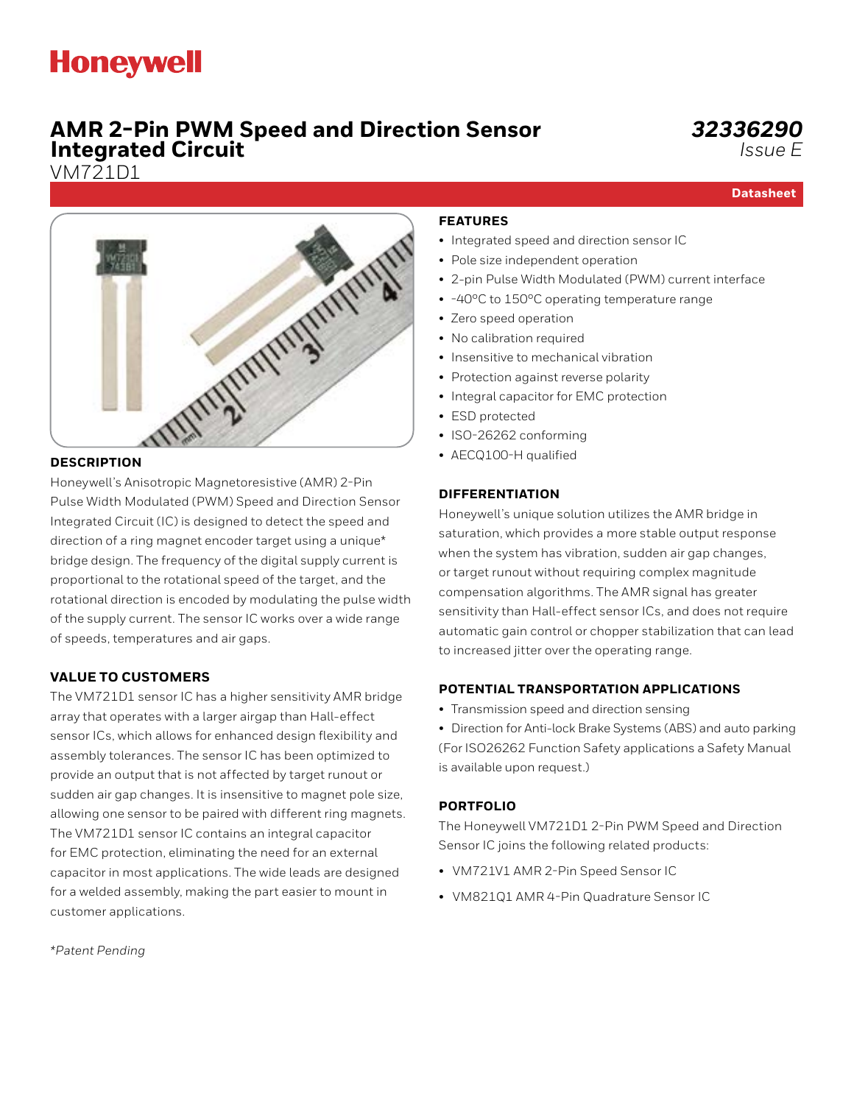# **Honeywell**

# **AMR 2-Pin PWM Speed and Direction Sensor Integrated Circuit**

VM721D1

**Datasheet**



Honeywell's Anisotropic Magnetoresistive (AMR) 2-Pin Pulse Width Modulated (PWM) Speed and Direction Sensor Integrated Circuit (IC) is designed to detect the speed and direction of a ring magnet encoder target using a unique\* bridge design. The frequency of the digital supply current is proportional to the rotational speed of the target, and the rotational direction is encoded by modulating the pulse width of the supply current. The sensor IC works over a wide range of speeds, temperatures and air gaps.

### **VALUE TO CUSTOMERS**

The VM721D1 sensor IC has a higher sensitivity AMR bridge array that operates with a larger airgap than Hall-effect sensor ICs, which allows for enhanced design flexibility and assembly tolerances. The sensor IC has been optimized to provide an output that is not affected by target runout or sudden air gap changes. It is insensitive to magnet pole size, allowing one sensor to be paired with different ring magnets. The VM721D1 sensor IC contains an integral capacitor for EMC protection, eliminating the need for an external capacitor in most applications. The wide leads are designed for a welded assembly, making the part easier to mount in customer applications.

*\*Patent Pending*

#### **FEATURES**

- Integrated speed and direction sensor IC
- Pole size independent operation
- 2-pin Pulse Width Modulated (PWM) current interface
- -40°C to 150°C operating temperature range
- Zero speed operation
- No calibration required
- Insensitive to mechanical vibration
- Protection against reverse polarity
- Integral capacitor for EMC protection
- ESD protected
- ISO-26262 conforming
- AECQ100-H qualified

#### **DIFFERENTIATION**

Honeywell's unique solution utilizes the AMR bridge in saturation, which provides a more stable output response when the system has vibration, sudden air gap changes, or target runout without requiring complex magnitude compensation algorithms. The AMR signal has greater sensitivity than Hall-effect sensor ICs, and does not require automatic gain control or chopper stabilization that can lead to increased jitter over the operating range.

### **POTENTIAL TRANSPORTATION APPLICATIONS**

- Transmission speed and direction sensing
- Direction for Anti-lock Brake Systems (ABS) and auto parking (For ISO26262 Function Safety applications a Safety Manual is available upon request.)

#### **[PORTFOLIO](https://sensing.honeywell.com/sensors/heavy-duty-pressure-sensors-and-transducers/PX3-series)**

The Honeywell VM721D1 2-Pin PWM Speed and Direction Sensor IC joins the following related products:

- VM721V1 AMR 2-Pin Speed Sensor IC
- VM821Q1 AMR 4-Pin Quadrature Sensor IC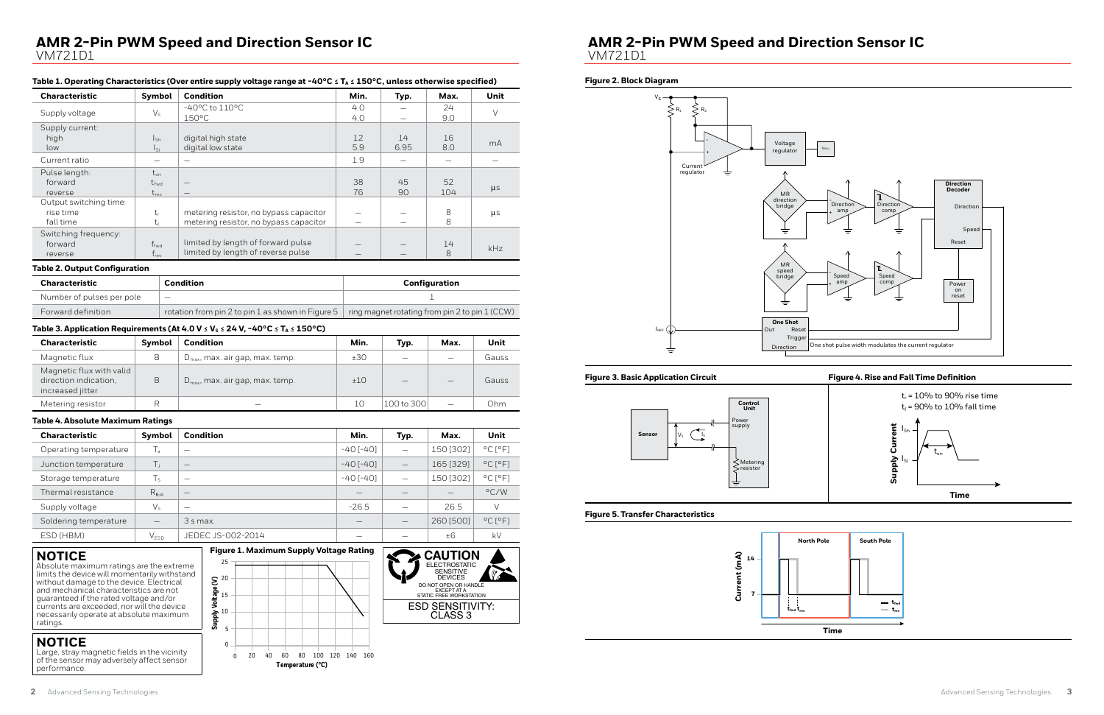

# **AMR 2-Pin PWM Speed and Direction Sensor IC** VM721D1

#### Table 1. Operating Characteristics (Over entire supply voltage range at -40°C ≤ T<sub>A</sub> ≤ 150°C, unless otherwise specified)

#### **Figure 5. Transfer Characteristics**

| <b>Characteristic</b>  | Symbol          | <b>Condition</b>                       | Min. | Typ. | Max. | Unit    |
|------------------------|-----------------|----------------------------------------|------|------|------|---------|
| Supply voltage         | $V_{S}$         | $-40^{\circ}$ C to $110^{\circ}$ C     | 4.0  |      | 24   | $\vee$  |
|                        |                 | $150^{\circ}$ C                        | 4.0  |      | 9.0  |         |
| Supply current:        |                 |                                        |      |      |      |         |
| high                   | $I_{\text{Sh}}$ | digital high state                     | 12   | 14   | 16   | mA      |
| low                    | $I_{\rm SL}$    | digital low state                      | 5.9  | 6.95 | 8.0  |         |
| Current ratio          | -               |                                        | 1.9  |      |      |         |
| Pulse length:          | $t_{\rm on}$    |                                        |      |      |      |         |
| forward                | $t_{fwd}$       | $\hspace{0.1mm}-\hspace{0.1mm}$        | 38   | 45   | 52   |         |
| reverse                | $t_{rev}$       | $\hspace{0.1mm}-\hspace{0.1mm}$        | 76   | 90   | 104  | $\mu$ s |
| Output switching time: |                 |                                        |      |      |      |         |
| rise time              | $t_{r}$         | metering resistor, no bypass capacitor |      | —    | 8    | $\mu$ s |
| fall time              | t               | metering resistor, no bypass capacitor |      |      | 8    |         |
| Switching frequency:   |                 |                                        |      |      |      |         |
| forward                | $f_{fwd}$       | limited by length of forward pulse     |      |      | 14   |         |
| reverse                | $f_{rev}$       | limited by length of reverse pulse     |      |      | 8    | kHz     |

#### **Table 2. Output Configuration**

| <b>Characteristic</b>     | Condition                                         | Configuration                                  |
|---------------------------|---------------------------------------------------|------------------------------------------------|
| Number of pulses per pole | $\hspace{0.1mm}-\hspace{0.1mm}$                   |                                                |
| Forward definition        | rotation from pin 2 to pin 1 as shown in Figure 5 | ring magnet rotating from pin 2 to pin 1 (CCW) |

#### Table 3. Application Requirements (At 4.0 V  $\leq$  V<sub>S</sub>  $\leq$  24 V, -40°C  $\leq$  T<sub>A</sub>  $\leq$  150°C)



| <b>Characteristic</b>                                                 | Symbol | <b>Condition</b>                            | Min. | Typ.       | Max.                     | Unit  |
|-----------------------------------------------------------------------|--------|---------------------------------------------|------|------------|--------------------------|-------|
| Magnetic flux                                                         | B      | $D_{\text{max}}$ , max. air gap, max. temp. | ±30  |            | $\overline{\phantom{0}}$ | Gauss |
| Magnetic flux with valid<br>direction indication.<br>increased jitter | B      | $D_{\text{max}}$ , max. air gap, max. temp. | ±10  |            | $-$                      | Gauss |
| Metering resistor                                                     |        | -                                           | 10   | 100 to 300 | $\overline{\phantom{0}}$ | 0hm.  |

#### **Table 4. Absolute Maximum Ratings**

| <b>Characteristic</b> | Symbol                   | <b>Condition</b>  | Min.            | Typ.                     | Max.      | Unit                         |
|-----------------------|--------------------------|-------------------|-----------------|--------------------------|-----------|------------------------------|
| Operating temperature | T,                       | _                 | $-40$ [ $-40$ ] | $\overline{\phantom{0}}$ | 150 [302] | $^{\circ}$ C [ $^{\circ}$ F] |
| Junction temperature  | Τ,                       |                   | $-40$ [ $-40$ ] | $\overline{\phantom{0}}$ | 165 [329] | $^{\circ}$ C [ $^{\circ}$ F] |
| Storage temperature   | $T_S$                    | -                 | $-40$ [ $-40$ ] | ÷.                       | 150 [302] | $^{\circ}$ C [ $^{\circ}$ F] |
| Thermal resistance    | $R_{\theta$ JA           |                   |                 |                          |           | $\rm ^{\circ}$ C/W           |
| Supply voltage        | $V_{S}$                  | _                 | $-26.5$         |                          | 26.5      | $\vee$                       |
| Soldering temperature | $\overline{\phantom{m}}$ | 3 s max.          |                 |                          | 260 [500] | $^{\circ}$ C [ $^{\circ}$ F] |
| ESD (HBM)             | $V_{ESD}$                | JEDEC JS-002-2014 |                 |                          | ±6        | kV                           |

#### **Figure 2. Block Diagram**







## **NOTICE**

Absolute maximum ratings are the extreme limits the device will momentarily withstand without damage to the device. Electrical and mechanical characteristics are not guaranteed if the rated voltage and/or currents are exceeded, nor will the device necessarily operate at absolute maximum ratings.



## **NOTICE**

Large, stray magnetic fields in the vicinity of the sensor may adversely affect sensor performance.